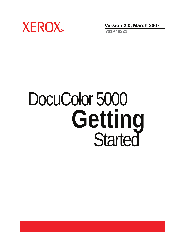

**Version 2.0, March 2007**

**701P46321**

# DocuColor 5000 Getting<br>Started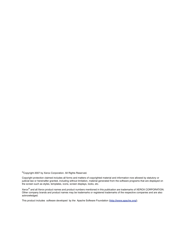©Copyright 2007 by Xerox Corporation. All Rights Reserved.

Copyright protection claimed includes all forms and matters of copyrighted material and information now allowed by statutory or judicial law or hereinafter granted, including without limitation, material generated from the software programs that are displayed on the screen such as styles, templates, icons, screen displays, looks, etc.

Xerox® and all Xerox product names and product numbers mentioned in this publication are trademarks of XEROX CORPORATION. Other company brands and product names may be trademarks or registered trademarks of the respective companies and are also acknowledged.

This product includes software developed by the Apache Software Foundation (**<http://www.apache.org/>**).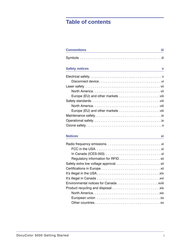# **[Table of contents](#page-4-0)**

| <b>Conventions</b>    | iii           |
|-----------------------|---------------|
|                       |               |
| <b>Safety notices</b> | $\mathbf v$   |
|                       |               |
|                       |               |
|                       |               |
|                       |               |
|                       |               |
|                       |               |
|                       |               |
|                       |               |
|                       |               |
|                       |               |
|                       |               |
| <b>Notices</b>        | хi            |
|                       |               |
|                       |               |
| In Canada (ICEC 000)  | $\sim$ $\sim$ |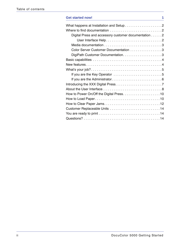| <b>Get started now!</b>                              | 1 |
|------------------------------------------------------|---|
|                                                      |   |
|                                                      |   |
| Digital Press and accessory customer documentation 2 |   |
|                                                      |   |
|                                                      |   |
| Color Server Customer Documentation 3                |   |
|                                                      |   |
|                                                      |   |
|                                                      |   |
|                                                      |   |
|                                                      |   |
|                                                      |   |
|                                                      |   |
|                                                      |   |
|                                                      |   |
|                                                      |   |
|                                                      |   |
|                                                      |   |
|                                                      |   |
|                                                      |   |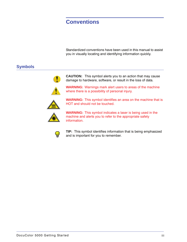# <span id="page-4-0"></span>**Conventions**

Standardized conventions have been used in this manual to assist you in visually locating and identifying information quickly.

# <span id="page-4-1"></span>**Symbols**



**CAUTION:** This symbol alerts you to an action that may cause damage to hardware, software, or result in the loss of data.

**WARNING:** Warnings mark alert users to areas of the machine where there is a possibility of personal injury.



**WARNING:** This symbol identifies an area on the machine that is HOT and should not be touched.



**WARNING:** This symbol indicates a laser is being used in the machine and alerts you to refer to the appropriate safety information.



**TIP:** This symbol identifies information that is being emphasized and is important for you to remember.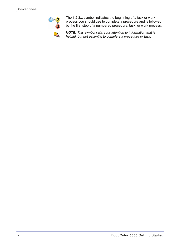

The 1 2 3... symbol indicates the beginning of a task or work process you should use to complete a procedure and is followed by the first step of a numbered procedure, task, or work process.

*NOTE: This symbol calls your attention to information that is helpful, but not essential to complete a procedure or task.*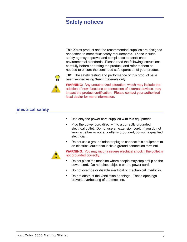# <span id="page-6-0"></span>**Safety notices**

This Xerox product and the recommended supplies are designed and tested to meet strict safety requirements. These include safety agency approval and compliance to established environmental standards. Please read the following instructions carefully before operating the product, and refer to them as needed to ensure the continued safe operation of your product.



**TIP:** The safety testing and performance of this product have been verified using Xerox materials only.

**WARNING:** Any unauthorized alteration, which may include the addition of new functions or connection of external devices, may impact the product certification. Please contact your authorized local dealer for more information.

# <span id="page-6-1"></span>**Electrical safety**

- Use only the power cord supplied with this equipment.
- Plug the power cord directly into a correctly grounded electrical outlet. Do not use an extension cord. If you do not know whether or not an outlet is grounded, consult a qualified electrician.
- Do not use a ground adapter plug to connect this equipment to an electrical outlet that lacks a ground connection terminal.



**WARNING:** You may incur a severe electrical shock if the outlet is not grounded correctly.

- Do not place the machine where people may step or trip on the power cord. Do not place objects on the power cord.
- Do not override or disable electrical or mechanical interlocks.
- Do not obstruct the ventilation openings. These openings prevent overheating of the machine.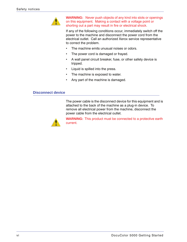

**WARNING:** Never push objects of any kind into slots or openings on this equipment. Making a contact with a voltage point or shorting out a part may result in fire or electrical shock.

If any of the following conditions occur, immediately switch off the power to the machine and disconnect the power cord from the electrical outlet. Call an authorized Xerox service representative to correct the problem.

- The machine emits unusual noises or odors.
- The power cord is damaged or frayed.
- A wall panel circuit breaker, fuse, or other safety device is tripped.
- Liquid is spilled into the press.
- The machine is exposed to water.
- Any part of the machine is damaged.

#### <span id="page-7-0"></span>**Disconnect device**

The power cable is the disconnect device for this equipment and is attached to the back of the machine as a plug-in device. To remove all electrical power from the machine, disconnect the power cable from the electrical outlet.



**WARNING:** This product must be connected to a protective earth current.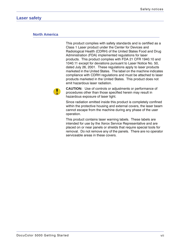# <span id="page-8-1"></span><span id="page-8-0"></span>**Laser safety**

#### **North America**

This product complies with safety standards and is certified as a Class 1 Laser product under the Center for Devices and Radiological Health (CDRH) of the United States Food and Drug Administration (FDA) implemented regulations for laser products. This product complies with FDA 21 CFR 1940.10 and 1040.11 except for deviations pursuant to Laser Notice No. 50, dated July 26, 2001. These regulations apply to laser products marketed in the United States. The label on the machine indicates compliance with CDRH regulations and must be attached to laser products marketed in the United States. This product does not emit hazardous laser radiation.



**CAUTION:** Use of controls or adjustments or performance of procedures other than those specified herein may result in hazardous exposure of laser light.

Since radiation emitted inside this product is completely confined within the protective housing and external covers, the laser beam cannot escape from the machine during any phase of the user operation.

This product contains laser warning labels. These labels are intended for use by the Xerox Service Representative and are placed on or near panels or shields that require special tools for removal. Do not remove any of the panels. There are no operator serviceable areas in these covers.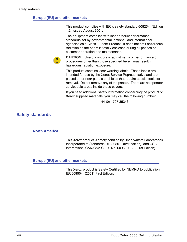#### <span id="page-9-0"></span>**Europe (EU) and other markets**

This product complies with IEC's safety standard 60825-1 (Edition 1.2) issued August 2001.

The equipment complies with laser product performance standards set by governmental, national, and international agencies as a Class 1 Laser Product. It does not emit hazardous radiation as the beam is totally enclosed during all phases of customer operation and maintenance.



**CAUTION:** Use of controls or adjustments or performance of procedures other than those specified herein may result in hazardous radiation exposure.

This product contains laser warning labels. These labels are intended for use by the Xerox Service Representative and are placed on or near panels or shields that require special tools for removal. Do not remove any of the panels. There are no operator serviceable areas inside these covers.

If you need additional safety information concerning the product or Xerox supplied materials, you may call the following number:

+44 (0) 1707 353434

### <span id="page-9-2"></span><span id="page-9-1"></span>**Safety standards**

#### **North America**

This Xerox product is safety certified by Underwriters Laboratories Incorporated to Standards UL60950-1 (first edition), and CSA International CAN/CSA C22.2 No. 60950-1-03 (First Edition).

#### <span id="page-9-3"></span>**Europe (EU) and other markets**

This Xerox product is Safety Certified by NEMKO to publication IEC60950-1 (2001) First Edition.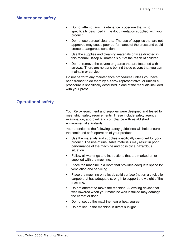## <span id="page-10-0"></span>**Maintenance safety**

- Do not attempt any maintenance procedure that is not specifically described in the documentation supplied with your product.
- Do not use aerosol cleaners. The use of supplies that are not approved may cause poor performance of the press and could create a dangerous condition.
- Use the supplies and cleaning materials only as directed in this manual. Keep all materials out of the reach of children.
- Do not remove the covers or guards that are fastened with screws. There are no parts behind these covers that you can maintain or service.

Do not perform any maintenance procedures unless you have been trained to do them by a Xerox representative, or unless a procedure is specifically described in one of the manuals included with your press.

# <span id="page-10-1"></span>**Operational safety**

Your Xerox equipment and supplies were designed and tested to meet strict safety requirements. These include safety agency examination, approval, and compliance with established environmental standards.

Your attention to the following safety guidelines will help ensure the continued safe operation of your product:

- Use the materials and supplies specifically designed for your product. The use of unsuitable materials may result in poor performance of the machine and possibly a hazardous situation.
- Follow all warnings and instructions that are marked on or supplied with the machine.
- Place the machine in a room that provides adequate space for ventilation and servicing.
- Place the machine on a level, solid surface (not on a thick pile carpet) that has adequate strength to support the weight of the machine.
- Do not attempt to move the machine. A leveling device that was lowered when your machine was installed may damage the carpet or floor.
- Do not set up the machine near a heat source.
- Do not set up the machine in direct sunlight.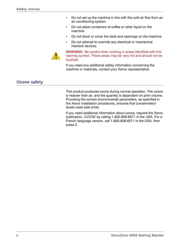- Do not set up the machine in line with the cold air flow from an air conditioning system.
- Do not place containers of coffee or other liquid on the machine.
- Do not block or cover the slots and openings on the machine.
- Do not attempt to override any electrical or mechanical interlock devices.



**WARNING:** Be careful when working in areas identified with this warning symbol. These areas may be very hot and should not be touched.

If you need any additional safety information concerning the machine or materials, contact your Xerox representative.

# <span id="page-11-0"></span>**Ozone safety**

This product produces ozone during normal operation. The ozone is heavier than air, and the quantity is dependent on print volume. Providing the correct environmental parameters, as specified in the Xerox installation procedures, ensures that concentration levels meet safe limits.

If you need additional information about ozone, request the Xerox publication, *OZONE* by calling 1-800-828-6571 in the USA. For a French language version, call 1-800-828-6571 in the USA, then press 2.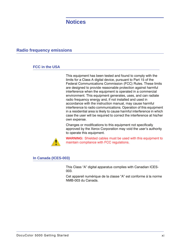# <span id="page-12-0"></span>**Notices**

# <span id="page-12-2"></span><span id="page-12-1"></span>**Radio frequency emissions**

### **FCC in the USA**

This equipment has been tested and found to comply with the limits for a Class A digital device, pursuant to Part 15 of the Federal Communications Commission (FCC) Rules. These limits are designed to provide reasonable protection against harmful interference when the equipment is operated in a commercial environment. This equipment generates, uses, and can radiate radio frequency energy and, if not installed and used in accordance with the instruction manual, may cause harmful interference to radio communications. Operation of this equipment in a residential area is likely to cause harmful interference in which case the user will be required to correct the interference at his/her own expense.

Changes or modifications to this equipment not specifically approved by the Xerox Corporation may void the user's authority to operate this equipment.



**WARNING:** Shielded cables must be used with this equipment to maintain compliance with FCC regulations.

#### <span id="page-12-3"></span>**In Canada (ICES-003)**

This Class "A" digital apparatus complies with Canadian ICES-003.

Cet appareil numérique de la classe "A" est conforme á la norme NMB-003 du Canada.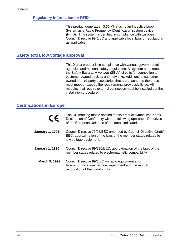#### <span id="page-13-0"></span>**Regulatory information for RFID**

This product generates 13.56 MHz using an Inductive Loop System as a Radio Frequency IDentification system device (RFID). This system is certified in compliance with European Council Directive 99/5/EC and applicable local laws or regulations as applicable.

## <span id="page-13-1"></span>**Safety extra low voltage approval**

This Xerox product is in compliance with various governmental agencies and national safety regulations. All system ports meet the Safety Extra Low Voltage (SELV) circuits for connection to customer-owned devices and networks. Additions of customerowned or third-party accessories that are attached to the press must meet or exceed the requirements previously listed. All modules that require external connection must be installed per the installation procedure.

# <span id="page-13-2"></span>**Certifications in Europe**

| $\epsilon$              | The CE marking that is applied to this product symbolizes Xerox<br>Declaration of Conformity with the following applicable Directives<br>of the European Union as of the dates indicated: |
|-------------------------|-------------------------------------------------------------------------------------------------------------------------------------------------------------------------------------------|
| <b>January 1, 1995:</b> | Council Directive 73/23/EEC amended by Council Directive 93/68/<br>EEC, approximation of the laws of the member states related to<br>low voltage equipment.                               |
| January 1, 1996:        | Council Directive 89/336/EEC, approximation of the laws of the<br>member states related to electromagnetic compatibility.                                                                 |
| <b>March 9, 1999</b>    | Council Directive 99/5/EC on radio equipment and<br>telecommunications terminal equipment and the mutual<br>recognition of their conformity.                                              |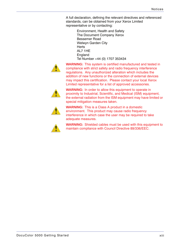A full declaration, defining the relevant directives and referenced standards, can be obtained from your Xerox Limited representative or by contacting:

Environment, Health and Safety The Document Company Xerox Bessemer Road Welwyn Garden City **Herts** AL7 1HE **England** Tel Number +44 (0) 1707 353434



**WARNING:** This system is certified manufactured and tested in compliance with strict safety and radio frequency interference regulations. Any unauthorized alteration which includes the addition of new functions or the connection of external devices may impact this certification. Please contact your local Xerox Limited representative for a list of approved accessories.



**WARNING:** In order to allow this equipment to operate in proximity to Industrial, Scientific, and Medical (ISM) equipment, the external radiation from the ISM equipment may have limited or special mitigation measures taken.



**WARNING:** This is a Class A product in a domestic environment. This product may cause radio frequency interference in which case the user may be required to take adequate measures.



**WARNING:** Shielded cables must be used with this equipment to maintain compliance with Council Directive 89/336/EEC.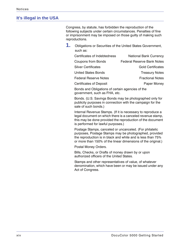# <span id="page-15-0"></span>**It's illegal in the USA**

Congress, by statute, has forbidden the reproduction of the following subjects under certain circumstances. Penalties of fine or imprisonment may be imposed on those guilty of making such reproductions.

**1.** Obligations or Securities of the United States Government, such as:

| Certificates of Indebtedness   | <b>National Bank Currency</b>     |
|--------------------------------|-----------------------------------|
| <b>Coupons from Bonds</b>      | <b>Federal Reserve Bank Notes</b> |
| <b>Silver Certificates</b>     | <b>Gold Certificates</b>          |
| <b>United States Bonds</b>     | <b>Treasury Notes</b>             |
| <b>Federal Reserve Notes</b>   | <b>Fractional Notes</b>           |
| <b>Certificates of Deposit</b> | Paper Money                       |

Bonds and Obligations of certain agencies of the government, such as FHA, etc.

Bonds. (U.S. Savings Bonds may be photographed only for publicity purposes in connection with the campaign for the sale of such bonds.)

Internal Revenue Stamps. (If it is necessary to reproduce a legal document on which there is a canceled revenue stamp, this may be done provided the reproduction of the document is performed for lawful purposes.)

Postage Stamps, canceled or uncanceled. (For philatelic purposes, Postage Stamps may be photographed, provided the reproduction is in black and white and is less than 75% or more than 150% of the linear dimensions of the original.)

Postal Money Orders.

Bills, Checks, or Drafts of money drawn by or upon authorized officers of the United States.

Stamps and other representatives of value, of whatever denomination, which have been or may be issued under any Act of Congress.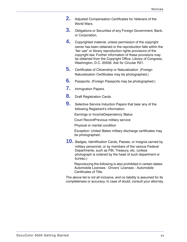- **2.** Adjusted Compensation Certificates for Veterans of the World Wars.
- **3.** Obligations or Securities of any Foreign Government, Bank, or Corporation.
- **4.** Copyrighted material, unless permission of the copyright owner has been obtained or the reproduction falls within the "fair use" or library reproduction rights provisions of the copyright law. Further information of these provisions may be obtained from the Copyright Office, Library of Congress, Washington, D.C. 20559. Ask for Circular R21.
- **5.** Certificates of Citizenship or Naturalization. (Foreign Naturalization Certificates may be photographed.)
- **6.** Passports. (Foreign Passports may be photographed.)
- **7.** Immigration Papers.
- **8.** Draft Registration Cards.
- **9.** Selective Service Induction Papers that bear any of the following Registrant's information:

Earnings or IncomeDependency Status

Court RecordPrevious military service

Physical or mental condition

Exception: United States military discharge certificates may be photographed.

**10.** Badges, Identification Cards, Passes, or Insignia carried by military personnel, or by members of the various Federal Departments, such as FBI, Treasury, etc. (unless photograph is ordered by the head of such department or bureau.)

Reproducing the following is also prohibited in certain states: Automobile Licenses - Drivers' Licenses - Automobile Certificates of Title.

The above list is not all inclusive, and no liability is assumed for its completeness or accuracy. In case of doubt, consult your attorney.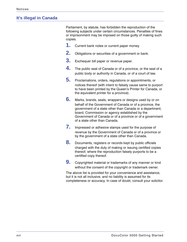# <span id="page-17-0"></span>**It's illegal in Canada**

Parliament, by statute, has forbidden the reproduction of the following subjects under certain circumstances. Penalties of fines or imprisonment may be imposed on those guilty of making such copies.

- **1.** Current bank notes or current paper money.
- **2.** Obligations or securities of a government or bank.
- **3.** Exchequer bill paper or revenue paper.
- **4.** The public seal of Canada or of a province, or the seal of a public body or authority in Canada, or of a court of law.
- **5.** Proclamations, orders, regulations or appointments, or notices thereof (with intent to falsely cause same to purport to have been printed by the Queen's Printer for Canada, or the equivalent printer for a province).
- **6.** Marks, brands, seals, wrappers or designs used by or on behalf of the Government of Canada or of a province, the government of a state other than Canada or a department, board, Commission or agency established by the Government of Canada or of a province or of a government of a state other than Canada.
- **7.** Impressed or adhesive stamps used for the purpose of revenue by the Government of Canada or of a province or by the government of a state other than Canada.
- **8.** Documents, registers or records kept by public officials charged with the duty of making or issuing certified copies thereof, where the reproduction falsely purports to be a certified copy thereof.
- **9.** Copyrighted material or trademarks of any manner or kind without the consent of the copyright or trademark owner.

The above list is provided for your convenience and assistance, but it is not all inclusive, and no liability is assumed for its completeness or accuracy. In case of doubt, consult your solicitor.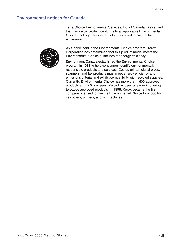# <span id="page-18-0"></span>**Environmental notices for Canada**

Terra Choice Environmental Services, Inc. of Canada has verified that this Xerox product conforms to all applicable Environmental Choice EcoLogo requirements for minimized impact to the environment.



As a participant in the Environmental Choice program, Xerox Corporation has determined that this product model meets the Environmental Choice guidelines for energy efficiency.

Environment Canada established the Environmental Choice program in 1988 to help consumers identify environmentally responsible products and services. Copier, printer, digital press, scanners, and fax products must meet energy efficiency and emissions criteria, and exhibit compatibility with recycled supplies. Currently, Environmental Choice has more than 1600 approved products and 140 licensees. Xerox has been a leader in offering EcoLogo approved products. In 1996, Xerox became the first company licensed to use the Environmental Choice EcoLogo for its copiers, printers, and fax machines.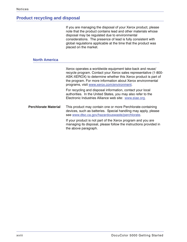# <span id="page-19-0"></span>**Product recycling and disposal**

| If you are managing the disposal of your Xerox product, please |
|----------------------------------------------------------------|
| note that the product contains lead and other materials whose  |
| disposal may be regulated due to environmental                 |
| considerations. The presence of lead is fully consistent with  |
| global regulations applicable at the time that the product was |
| placed on the market.                                          |

# **North America**

<span id="page-19-1"></span>

|                             | Xerox operates a worldwide equipment take-back and reuse/<br>recycle program. Contact your Xerox sales representative (1-800-<br>ASK-XEROX) to determine whether this Xerox product is part of<br>the program. For more information about Xerox environmental<br>programs, visit www.xerox.com/environment. |
|-----------------------------|-------------------------------------------------------------------------------------------------------------------------------------------------------------------------------------------------------------------------------------------------------------------------------------------------------------|
|                             | For recycling and disposal information, contact your local<br>authorities. In the United States, you may also refer to the<br>Electronic Industries Alliance web site: www.eiae.org.                                                                                                                        |
| <b>Perchlorate Material</b> | This product may contain one or more Perchlorate-containing<br>devices, such as batteries. Special handling may apply, please<br>see www.dtsc.ca.gov/hazardouswaste/perchlorate.                                                                                                                            |
|                             | If your product is not part of the Xerox program and you are<br>managing its disposal, please follow the instructions provided in<br>the above paragraph.                                                                                                                                                   |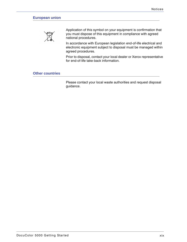## <span id="page-20-0"></span>**European union**



Application of this symbol on your equipment is confirmation that you must dispose of this equipment in compliance with agreed national procedures.

In accordance with European legislation end-of-life electrical and electronic equipment subject to disposal must be managed within agreed procedures.

Prior to disposal, contact your local dealer or Xerox representative for end-of-life take-back information.

#### <span id="page-20-1"></span>**Other countries**

Please contact your local waste authorities and request disposal guidance.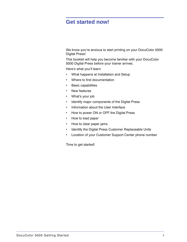# <span id="page-22-0"></span>**Get started now!**

We know you're anxious to start printing on your DocuColor 5000 Digital Press!

This booklet will help you become familiar with your DocuColor 5000 Digital Press before your trainer arrives.

Here's what you'll learn:

- What happens at Installation and Setup
- Where to find documentation
- Basic capabilities
- New features
- What's your job
- Identify major components of the Digital Press
- Information about the User Interface
- How to power ON or OFF the Digital Press
- How to load paper
- How to clear paper jams
- Identify the Digital Press Customer Replaceable Units
- Location of your Customer Support Center phone number

Time to get started!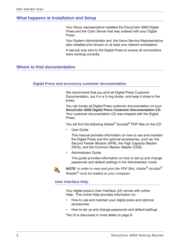# <span id="page-23-0"></span>**What happens at Installation and Setup**

Your Xerox representative installed the DocuColor 5000 Digital Press and the Color Server that was ordered with your Digital Press.

Your System Administrator and the Xerox Service Representative also installed print drivers on at least one network workstation.

A test job was sent to the Digital Press to ensure all connections were working correctly.

# <span id="page-23-2"></span><span id="page-23-1"></span>**Where to find documentation**

#### **Digital Press and accessory customer documentation**

We recommend that you print all Digital Press Customer Documentation, put it in a 3-ring binder, and keep it close to the press.

You can locate all Digital Press customer documentation on your *DocuColor 5000 Digital Press Customer Documentation CD*. Your customer documentation CD was shipped with the Digital Press.

You will find the following Adobe<sup>®</sup> Acrobat<sup>®</sup> PDF files on the CD:

User Guide

This manual provides information on how to use and maintain the Digital Press and the optional accessories, such as: the Second Feeder Module (SFM), the High Capacity Stacker (HCS), and the Common Stacker Stapler (CSS).

• Administrator Guide

This guide provides information on how to set up and change passwords and default settings in the Administrator mode.



*NOTE: In order to view and print the PDF files, Adobe® Acrobat® Reader® must be loaded on your computer.*

#### <span id="page-23-3"></span>**User Interface Help**

Your digital press's User Interface (UI) comes with online Help. This online Help provides information on:

- How to use and maintain your digital press and optional accessories
- How to set up and change passwords and default settings

The UI is discussed in more detail on [page 8](#page-29-0).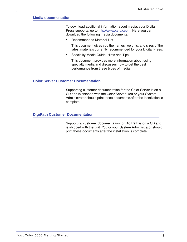#### <span id="page-24-0"></span>**Media documentation**

To download additional information about media, your Digital Press supports, go to <http://www.xerox.com>. Here you can download the following media documents:

• Recommended Material List

This document gives you the names, weights, and sizes of the latest materials currently recommended for your Digital Press.

• Speciality Media Guide: Hints and Tips

This document provides more information about using specialty media and discusses how to get the best performance from these types of media

#### <span id="page-24-1"></span>**Color Server Customer Documentation**

Supporting customer documentation for the Color Server is on a CD and is shipped with the Color Server. You or your System Administrator should print these documents,after the installation is complete.

#### <span id="page-24-2"></span>**DigiPath Customer Documentation**

Supporting customer documentation for DigiPath is on a CD and is shipped with the unit. You or your System Administrator should print these documents after the installation is complete.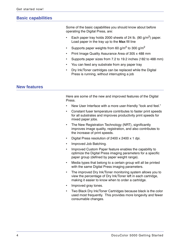# <span id="page-25-0"></span>**Basic capabilities**

Some of the basic capabilities you should know about before operating the Digital Press, are:

- Each paper tray holds 2000 sheets of 24 lb. (90 g/m<sup>2</sup>) paper. Load paper in the tray up to the **Max** fill line
- Supports paper weights from 60 g/m<sup>2</sup> to 300 g/m<sup>2</sup>
- Print Image Quality Assurance Area of 305 x 488 mm
- Supports paper sizes from 7.2 to 19.2 inches (182 to 488 mm)
- You can feed any substrate from any paper tray
- Dry Ink/Toner cartridges can be replaced while the Digital Press is running, without interrupting a job

## <span id="page-25-1"></span>**New features**

Here are some of the new and improved features of the Digital Press.

- New User Interface with a more user-friendly "look and feel."
- Constant fuser temperature contributes to faster print speeds for all substrates and improves productivity print speeds for mixed paper jobs.
- The New Registration Technology (NRT), significantly improves image quality, registration, and also contributes to the increase of print speeds.
- Digital Press resolution of 2400 x 2400 x 1 dpi.
- Improved Job Batching.
- Improved Custom Paper feature enables the capability to optimize the Digital Press imaging parameters for a specific paper group (defined by paper weight range).
- Media types that belong to a certain group will all be printed with the same Digital Press imaging parameters.
- The improved Dry Ink/Toner monitoring system allows you to view the percentage of Dry Ink/Toner left in each cartridge, making it easier to know when to order a cartridge.
- Improved gray tones.
- Two Black Dry Ink/Toner Cartridges because black is the color used most frequently. This provides more longevity and fewer consumable changes.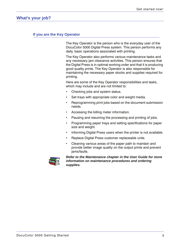# <span id="page-26-1"></span><span id="page-26-0"></span>**What's your job?**

#### **If you are the Key Operator**

The Key Operator is the person who is the everyday user of the DocuColor 5000 Digital Press system. This person performs any daily, basic operations associated with printing.

The Key Operator also performs various maintenance tasks and any necessary jam clearance activities. This person ensures that the Digital Press is in optimal working order and that it is producing good quality prints. The Key Operator is also responsible for maintaining the necessary paper stocks and supplies required for printing.

Here are some of the Key Operator responsibilities and tasks, which may include and are not limited to:

- Checking jobs and system status.
- Set trays with appropriate color and weight media.
- Reprogramming print jobs based on the document submission needs.
- Accessing the billing meter information.
- Pausing and resuming the processing and printing of jobs.
- Programming paper trays and setting specifications for paper size and weight.
- Informing Digital Press users when the printer is not available.
- Replace Digital Press customer replaceable units.
- Cleaning various areas of the paper path to maintain and provide better image quality on the output prints and prevent jams/faults.



*Refer to the Maintenance chapter in the User Guide for more information on maintenance procedures and ordering supplies.*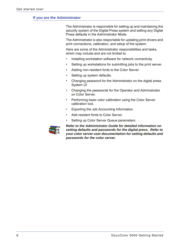#### <span id="page-27-0"></span>**If you are the Administrator**

The Administrator is responsible for setting up and maintaining the security system of the Digital Press system and setting any Digital Press defaults in the Administrator Mode.

The Administrator is also responsible for updating print drivers and print connections, calibration, and setup of the system.

Here are some of the Administrator responsibilities and tasks, which may include and are not limited to:

- Installing workstation software for network connectivity.
- Setting up workstations for submitting jobs to the print server.
- Adding non-resident fonts to the Color Server.
- Setting up system defaults.
- Changing password for the Administrator on the digital press System UI
- Changing the passwords for the Operator and Administrator on Color Server.
- Performing basic color calibration using the Color Server calibration tool.
- Exporting the Job Accounting Information.
- Add resident fonts to Color Server.
- Setting up Color Server Queue parameters.



*Refer to the Administrator Guide for detailed information on setting defaults and passwords for the digital press. Refer to your color server user documentation for setting defaults and passwords for the color server.*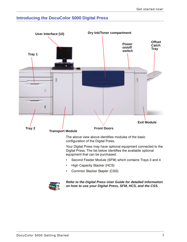# <span id="page-28-0"></span>**Introducing the DocuColor 5000 Digital Press**





*Refer to the Digital Press User Guide for detailed information on how to use your Digital Press, SFM, HCS, and the CSS.*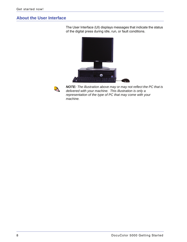# <span id="page-29-0"></span>**About the User Interface**



The User Interface (UI) displays messages that indicate the status of the digital press during idle, run, or fault conditions.



*NOTE: The illustration above may or may not reflect the PC that is delivered with your machine. This illustration is only a representation of the type of PC that may come with your machine.*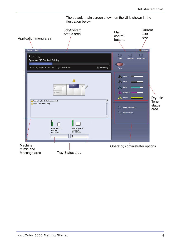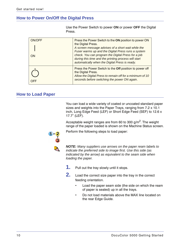# <span id="page-31-0"></span>**How to Power On/Off the Digital Press**

| Press.              |                                                                                                                                                                                                                                                                                                                                                         |
|---------------------|---------------------------------------------------------------------------------------------------------------------------------------------------------------------------------------------------------------------------------------------------------------------------------------------------------------------------------------------------------|
| ON/OFF<br><b>ON</b> | Press the Power Switch to the ON position to power ON<br>the Digital Press.<br>A screen message advises of a short wait while the<br>Fuser warms up and the Digital Press runs a system<br>check. You can program the Digital Press for a job<br>during this time and the printing process will start<br>automatically when the Digital Press is ready. |
| <b>OFF</b>          | Press the Power Switch to the Off position to power off<br>the Digital Press.<br>Allow the Digital Press to remain off for a minimum of 10<br>seconds before switching the power ON again.                                                                                                                                                              |

# <span id="page-31-1"></span>**How to Load Paper**

You can load a wide variety of coated or uncoated standard paper sizes and weights into the Paper Trays, ranging from 7.2 x 10.1 inch, Long Edge Feed (LEF) or Short Edge Feed (SEF) to 12.6 x 17.7" (LEF).

Use the Power Switch to power **ON** or power **OFF** the Digital

Acceptable weight ranges are from 60 to 300  $g/m^2$ . The weight range of the paper loaded is shown on the Machine Status screen.

Perform the following steps to load paper:

*NOTE: Many suppliers use arrows on the paper ream labels to indicate the preferred side to image first. Use this side (as indicated by the arrow) as equivalent to the seam side when loading the paper.*

- **1.** Pull out the tray slowly until it stops.
- **2.** Load the correct size paper into the tray in the correct feeding orientation.
	- Load the paper seam side (the side on which the ream of paper is sealed) up in all the trays.
	- Do not load materials above the MAX line located on the rear Edge Guide.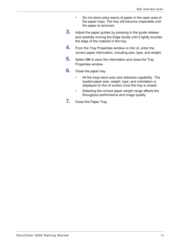- Do not store extra reams of paper in the open area of the paper trays. The tray will become inoperable until the paper is removed.
- **3.** Adjust the paper guides by pressing in the guide release and carefully moving the Edge Guide until it lightly touches the edge of the material in the tray.
- **4.** From the Tray Properties window on the UI, enter the correct paper information, including size, type, and weight.
- **5.** Select **OK** to save the information and close the Tray Properties window.
- **6.** Close the paper tray.
	- All the trays have auto size detection capability. The loaded paper size, weight, type, and orientation is displayed on the UI screen once the tray is closed.
	- Selecting the correct paper weight range affects the throughput performance and image quality.
- **7.** Close the Paper Tray.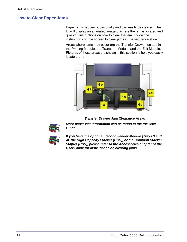# <span id="page-33-0"></span>**How to Clear Paper Jams**

Paper jams happen occasionally and can easily be cleared. The UI will display an animated image of where the jam is located and give you instructions on how to clear the jam. Follow the instructions on the screen to clear jams in the sequence shown.

Areas where jams may occur are the Transfer Drawer located in the Printing Module, the Transport Module, and the Exit Module. Pictures of these areas are shown in this section to help you easily locate them.



#### **Transfer Drawer Jam Clearance Areas**



*More paper jam information can be found in the the User Guide.*



*If you have the optional Second Feeder Module (Trays 3 and 4), the High Capacity Stacker (HCS), or the Common Stacker Stapler (CSS), please refer to the Accessories chapter of the User Guide for instructions on clearing jams.*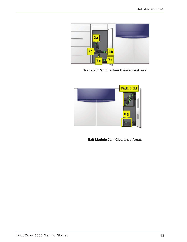

**Transport Module Jam Clearance Areas**



**Exit Module Jam Clearance Areas**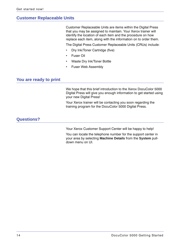# <span id="page-35-0"></span>**Customer Replaceable Units**

Customer Replaceable Units are items within the Digital Press that you may be assigned to maintain. Your Xerox trainer will identify the location of each item and the procedure on how replace each item, along with the information on to order them.

The Digital Press Customer Replaceable Units (CRUs) include:

- Dry Ink/Toner Cartridge (five)
- Fuser Oil
- Waste Dry Ink/Toner Bottle
- Fuser Web Assembly

# <span id="page-35-1"></span>**You are ready to print**

We hope that this brief introduction to the Xerox DocuColor 5000 Digital Press will give you enough information to get started using your new Digital Press!

Your Xerox trainer will be contacting you soon regarding the training program for the DocuColor 5000 Digital Press.

## <span id="page-35-2"></span>**Questions?**

Your Xerox Customer Support Center will be happy to help!

You can locate the telephone number for the support center in your area by selecting **Machine Details** from the **System** pulldown menu on UI.